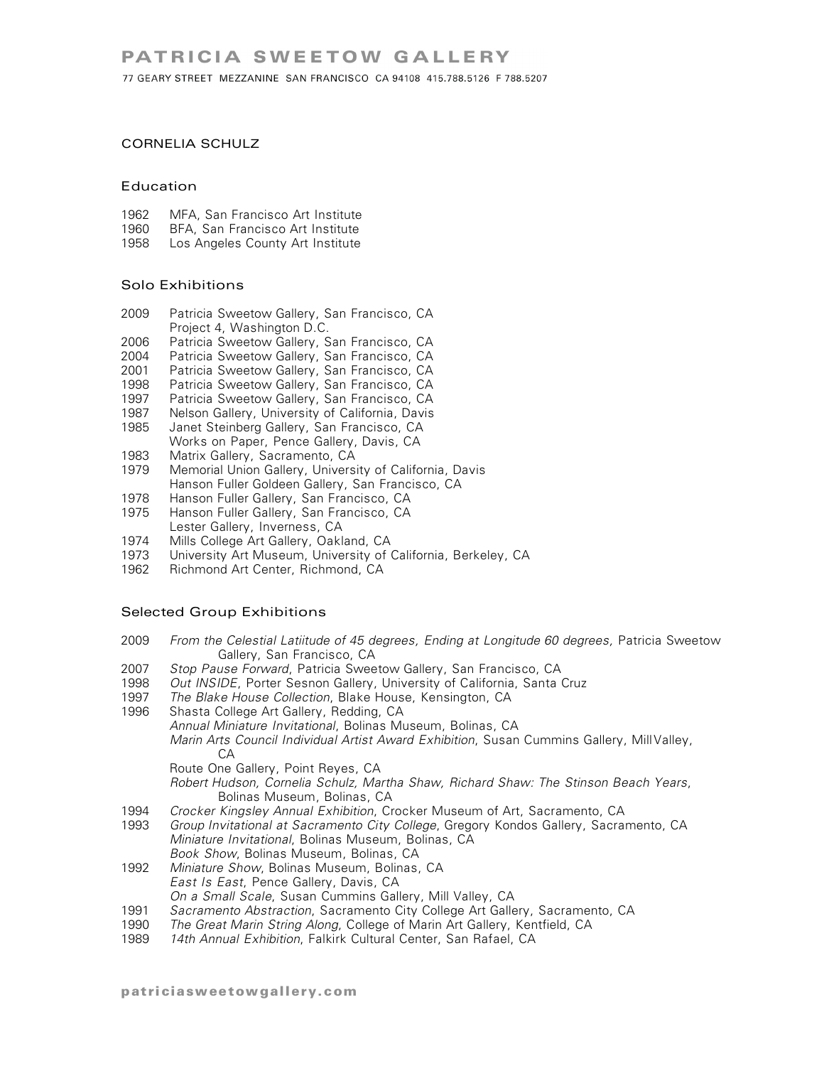77 GEARY STREET MEZZANINE SAN FRANCISCO CA 94108 415.788.5126 F 788.5207

# CORNELIA SCHULZ

#### Education

- 1962 MFA, San Francisco Art Institute<br>1960 BFA, San Francisco Art Institute
- 1960 BFA, San Francisco Art Institute<br>1958 Los Angeles County Art Institute
- Los Angeles County Art Institute

# Solo Exhibitions

- 2009 Patricia Sweetow Gallery, San Francisco, CA Project 4, Washington D.C.
- 2006 Patricia Sweetow Gallery, San Francisco, CA
- 2004 Patricia Sweetow Gallery, San Francisco, CA
- 2001 Patricia Sweetow Gallery, San Francisco, CA
- 1998 Patricia Sweetow Gallery, San Francisco, CA
- 1997 – Patricia Sweetow Gallery, San Francisco, CA<br>1987 – Nelson Gallery, University of California, Davis
- Nelson Gallery, University of California, Davis
- 1985 Janet Steinberg Gallery, San Francisco, CA Works on Paper, Pence Gallery, Davis, CA
- 1983 Matrix Gallery, Sacramento, CA
- 1979 Memorial Union Gallery, University of California, Davis Hanson Fuller Goldeen Gallery, San Francisco, CA
- 
- 1978 Hanson Fuller Gallery, San Francisco, CA<br>1975 Hanson Fuller Gallery, San Francisco, CA Hanson Fuller Gallery, San Francisco, CA Lester Gallery, Inverness, CA
- 
- 1974 Mills College Art Gallery, Oakland, CA<br>1973 University Art Museum, University of ( 1973 University Art Museum, University of California, Berkeley, CA<br>1962 Richmond Art Center, Richmond, CA
- Richmond Art Center, Richmond, CA

# Selected Group Exhibitions

- 2009 *From the Celestial Latiitude of 45 degrees, Ending at Longitude 60 degrees,* Patricia Sweetow Gallery, San Francisco, CA
- 2007 *Stop Pause Forward*, Patricia Sweetow Gallery, San Francisco, CA
- Out *INSIDE*, Porter Sesnon Gallery, University of California, Santa Cruz
- 1997 *The Blake House Collection*, Blake House, Kensington, CA
- Shasta College Art Gallery, Redding, CA *Annual Miniature Invitational*, Bolinas Museum, Bolinas, CA *Marin Arts Council Individual Artist Award Exhibition*, Susan Cummins Gallery, MillValley, CA Route One Gallery, Point Reyes, CA *Robert Hudson, Cornelia Schulz, Martha Shaw, Richard Shaw: The Stinson Beach Years*, Bolinas Museum, Bolinas, CA
- 1994 *Crocker Kingsley Annual Exhibition*, Crocker Museum of Art, Sacramento, CA
- 1993 *Group Invitational at Sacramento City College*, Gregory Kondos Gallery, Sacramento, CA *Miniature Invitational*, Bolinas Museum, Bolinas, CA *Book Show*, Bolinas Museum, Bolinas, CA
- 1992 *Miniature Show*, Bolinas Museum, Bolinas, CA *East Is East*, Pence Gallery, Davis, CA *On a Small Scale*, Susan Cummins Gallery, Mill Valley, CA
- 1991 *Sacramento Abstraction*, Sacramento City College Art Gallery, Sacramento, CA
- 1990 *The Great Marin String Along*, College of Marin Art Gallery, Kentfield, CA
- 1989 *14th Annual Exhibition*, Falkirk Cultural Center, San Rafael, CA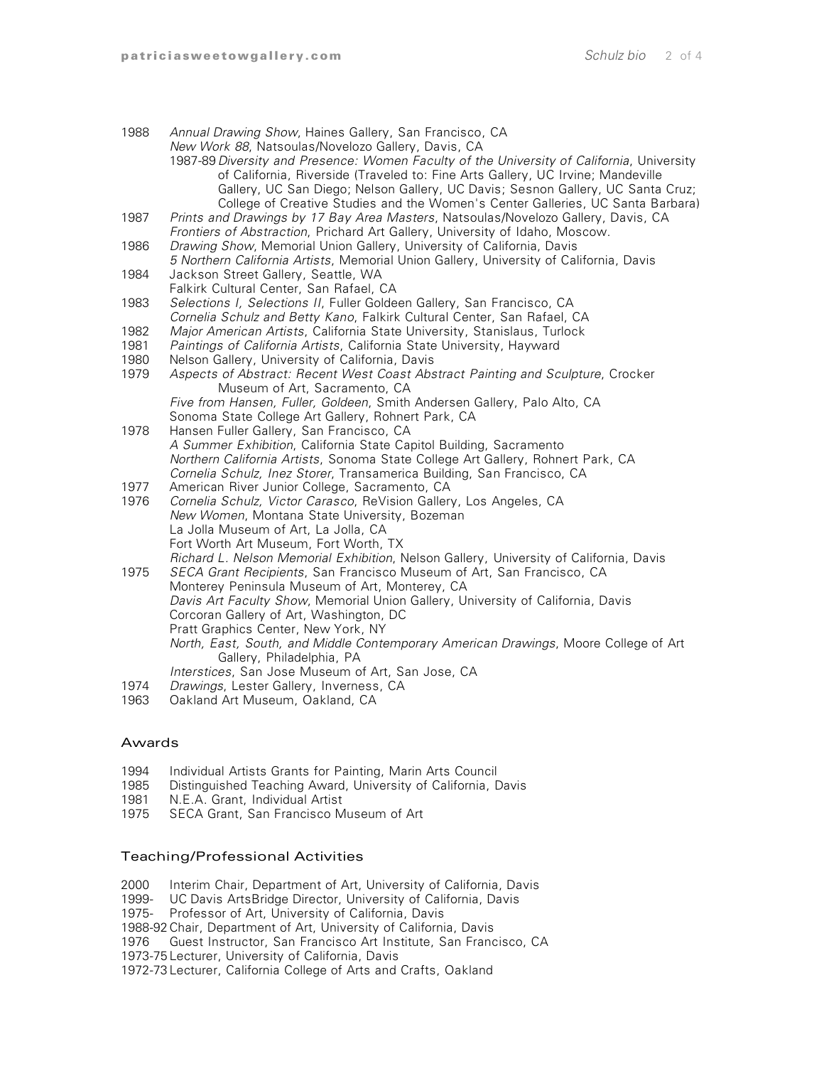| 1988         | Annual Drawing Show, Haines Gallery, San Francisco, CA<br>New Work 88, Natsoulas/Novelozo Gallery, Davis, CA<br>1987-89 Diversity and Presence: Women Faculty of the University of California, University<br>of California, Riverside (Traveled to: Fine Arts Gallery, UC Irvine; Mandeville<br>Gallery, UC San Diego; Nelson Gallery, UC Davis; Sesnon Gallery, UC Santa Cruz;<br>College of Creative Studies and the Women's Center Galleries, UC Santa Barbara) |
|--------------|--------------------------------------------------------------------------------------------------------------------------------------------------------------------------------------------------------------------------------------------------------------------------------------------------------------------------------------------------------------------------------------------------------------------------------------------------------------------|
| 1987         | Prints and Drawings by 17 Bay Area Masters, Natsoulas/Novelozo Gallery, Davis, CA<br>Frontiers of Abstraction, Prichard Art Gallery, University of Idaho, Moscow.                                                                                                                                                                                                                                                                                                  |
| 1986         | Drawing Show, Memorial Union Gallery, University of California, Davis<br>5 Northern California Artists, Memorial Union Gallery, University of California, Davis                                                                                                                                                                                                                                                                                                    |
| 1984         | Jackson Street Gallery, Seattle, WA<br>Falkirk Cultural Center, San Rafael, CA                                                                                                                                                                                                                                                                                                                                                                                     |
| 1983         | Selections I, Selections II, Fuller Goldeen Gallery, San Francisco, CA<br>Cornelia Schulz and Betty Kano, Falkirk Cultural Center, San Rafael, CA                                                                                                                                                                                                                                                                                                                  |
| 1982<br>1981 | Major American Artists, California State University, Stanislaus, Turlock<br>Paintings of California Artists, California State University, Hayward                                                                                                                                                                                                                                                                                                                  |
| 1980<br>1979 | Nelson Gallery, University of California, Davis<br>Aspects of Abstract: Recent West Coast Abstract Painting and Sculpture, Crocker                                                                                                                                                                                                                                                                                                                                 |
|              | Museum of Art, Sacramento, CA<br>Five from Hansen, Fuller, Goldeen, Smith Andersen Gallery, Palo Alto, CA<br>Sonoma State College Art Gallery, Rohnert Park, CA                                                                                                                                                                                                                                                                                                    |
| 1978         | Hansen Fuller Gallery, San Francisco, CA<br>A Summer Exhibition, California State Capitol Building, Sacramento<br>Northern California Artists, Sonoma State College Art Gallery, Rohnert Park, CA<br>Cornelia Schulz, Inez Storer, Transamerica Building, San Francisco, CA                                                                                                                                                                                        |
| 1977<br>1976 | American River Junior College, Sacramento, CA<br>Cornelia Schulz, Victor Carasco, ReVision Gallery, Los Angeles, CA                                                                                                                                                                                                                                                                                                                                                |
|              | New Women, Montana State University, Bozeman<br>La Jolla Museum of Art, La Jolla, CA<br>Fort Worth Art Museum, Fort Worth, TX<br>Richard L. Nelson Memorial Exhibition, Nelson Gallery, University of California, Davis                                                                                                                                                                                                                                            |
| 1975         | SECA Grant Recipients, San Francisco Museum of Art, San Francisco, CA<br>Monterey Peninsula Museum of Art, Monterey, CA                                                                                                                                                                                                                                                                                                                                            |
|              | Davis Art Faculty Show, Memorial Union Gallery, University of California, Davis<br>Corcoran Gallery of Art, Washington, DC<br>Pratt Graphics Center, New York, NY                                                                                                                                                                                                                                                                                                  |
|              | North, East, South, and Middle Contemporary American Drawings, Moore College of Art<br>Gallery, Philadelphia, PA                                                                                                                                                                                                                                                                                                                                                   |
| 1974<br>1963 | Interstices, San Jose Museum of Art, San Jose, CA<br>Drawings, Lester Gallery, Inverness, CA<br>Oakland Art Museum, Oakland, CA                                                                                                                                                                                                                                                                                                                                    |
|              |                                                                                                                                                                                                                                                                                                                                                                                                                                                                    |

# Awards

- 1994 Individual Artists Grants for Painting, Marin Arts Council<br>1985 Distinguished Teaching Award, University of California, D
- 1985 Distinguished Teaching Award, University of California, Davis<br>1981 N.E.A. Grant, Individual Artist
- 1981 N.E.A. Grant, Individual Artist<br>1975 SECA Grant, San Francisco M
- SECA Grant, San Francisco Museum of Art

#### Teaching/Professional Activities

- 2000 Interim Chair, Department of Art, University of California, Davis
- 1999- UC Davis ArtsBridge Director, University of California, Davis
- 1975- Professor of Art, University of California, Davis
- 1988-92Chair, Department of Art, University of California, Davis
- Guest Instructor, San Francisco Art Institute, San Francisco, CA
- 1973-75 Lecturer, University of California, Davis
- 1972-73 Lecturer, California College of Arts and Crafts, Oakland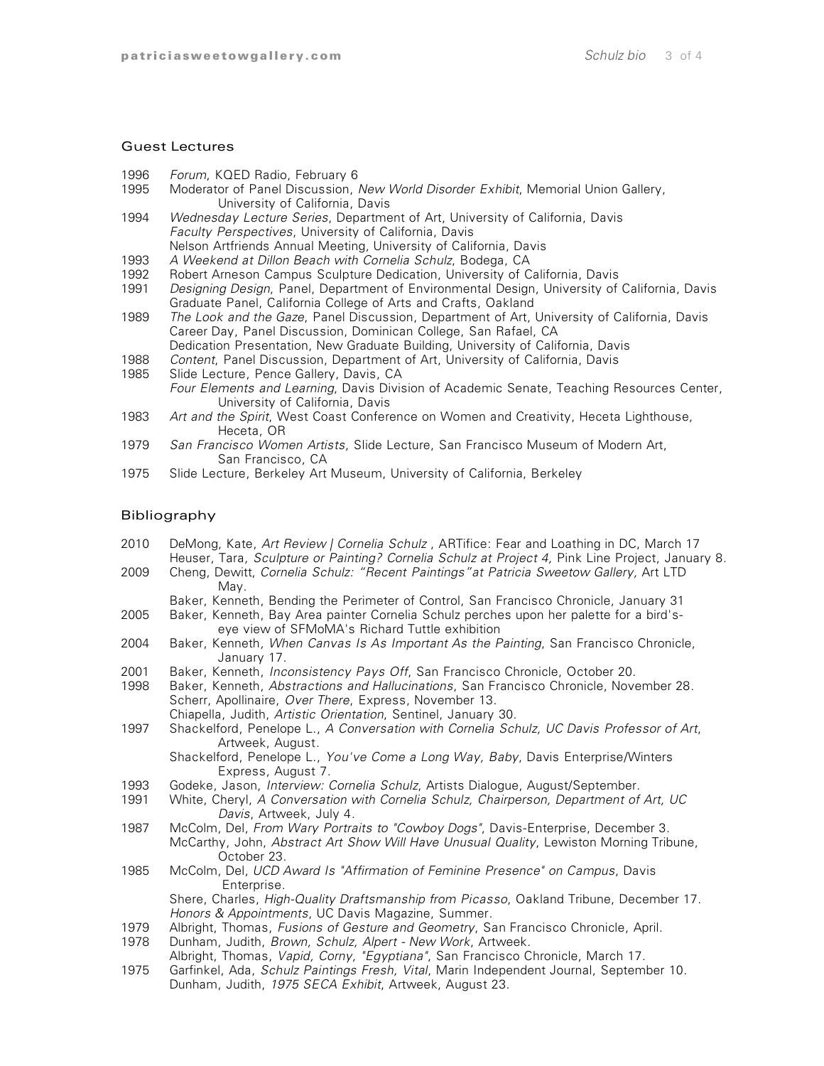#### Guest Lectures

- 1996 *Forum*, KQED Radio, February 6
- 1995 Moderator of Panel Discussion, *New World Disorder Exhibit*, Memorial Union Gallery, University of California, Davis
- 1994 *Wednesday Lecture Series*, Department of Art, University of California, Davis *Faculty Perspectives*, University of California, Davis Nelson Artfriends Annual Meeting, University of California, Davis
- 1993 *A Weekend at Dillon Beach with Cornelia Schulz*, Bodega, CA
- 1992 Robert Arneson Campus Sculpture Dedication, University of California, Davis
- 1991 *Designing Design*, Panel, Department of Environmental Design, University of California, Davis Graduate Panel, California College of Arts and Crafts, Oakland
- 1989 *The Look and the Gaze*, Panel Discussion, Department of Art, University of California, Davis Career Day, Panel Discussion, Dominican College, San Rafael, CA Dedication Presentation, New Graduate Building, University of California, Davis
- 1988 *Content*, Panel Discussion, Department of Art, University of California, Davis
- 1985 Slide Lecture, Pence Gallery, Davis, CA *Four Elements and Learning*, Davis Division of Academic Senate, Teaching Resources Center, University of California, Davis
- 1983 *Art and the Spirit*, West Coast Conference on Women and Creativity, Heceta Lighthouse, Heceta, OR
- 1979 *San Francisco Women Artists*, Slide Lecture, San Francisco Museum of Modern Art, San Francisco, CA
- 1975 Slide Lecture, Berkeley Art Museum, University of California, Berkeley

#### Bibliography

- 2010 DeMong, Kate, *Art Review | Cornelia Schulz* , ARTifice: Fear and Loathing in DC, March 17 Heuser, Tara*, Sculpture or Painting? Cornelia Schulz at Project 4,* Pink Line Project, January 8.
- 2009 Cheng, Dewitt, *Cornelia Schulz: "Recent Paintings"at Patricia Sweetow Gallery,* Art LTD May.
	- Baker, Kenneth, Bending the Perimeter of Control, San Francisco Chronicle, January 31
- 2005 Baker, Kenneth, Bay Area painter Cornelia Schulz perches upon her palette for a bird'seye view of SFMoMA's Richard Tuttle exhibition
- 2004 Baker, Kenneth*, When Canvas Is As Important As the Painting*, San Francisco Chronicle, January 17.
- 2001 Baker, Kenneth, *Inconsistency Pays Off*, San Francisco Chronicle, October 20.
- 1998 Baker, Kenneth, *Abstractions and Hallucinations*, San Francisco Chronicle, November 28. Scherr, Apollinaire, *Over There*, Express, November 13.
	- Chiapella, Judith, *Artistic Orientation*, Sentinel, January 30.
- 1997 Shackelford, Penelope L., *A Conversation with Cornelia Schulz, UC Davis Professor of Art*, Artweek, August.
	- Shackelford, Penelope L., *You've Come a Long Way, Baby*, Davis Enterprise/Winters Express, August 7.
- 1993 Godeke, Jason, *Interview: Cornelia Schulz*, Artists Dialogue, August/September.
- 1991 White, Cheryl, *A Conversation with Cornelia Schulz, Chairperson, Department of Art, UC Davis*, Artweek, July 4.
- 1987 McColm, Del, *From Wary Portraits to "Cowboy Dogs"*, Davis-Enterprise, December 3. McCarthy, John, *Abstract Art Show Will Have Unusual Quality*, Lewiston Morning Tribune, October 23.
- 1985 McColm, Del, *UCD Award Is "Affirmation of Feminine Presence" on Campus*, Davis Enterprise.

Shere, Charles, *High-Quality Draftsmanship from Picasso*, Oakland Tribune, December 17. *Honors & Appointments*, UC Davis Magazine, Summer.

- 1979 Albright, Thomas, *Fusions of Gesture and Geometry*, San Francisco Chronicle, April.
- 1978 Dunham, Judith, *Brown, Schulz, Alpert - New Work*, Artweek.
- Albright, Thomas, *Vapid, Corny, "Egyptiana"*, San Francisco Chronicle, March 17.
- 1975 Garfinkel, Ada, *Schulz Paintings Fresh, Vital*, Marin Independent Journal, September 10. Dunham, Judith, *1975 SECA Exhibit*, Artweek, August 23.